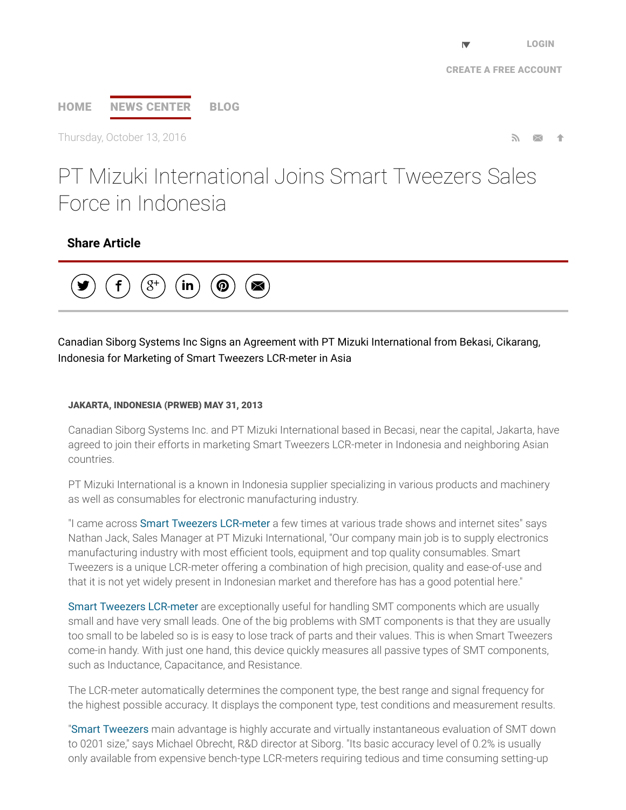# [HOME](http://www.prweb.com/) NEWS [CENTER](http://www.prweb.com/recentnews/) [BLOG](http://www.cision.com/us/blog/)

Thursday, October 13, 2016  $\blacksquare$ 

# PT Mizuki International Joins Smart Tweezers Sales Force in Indonesia

## Share Article



### Canadian Siborg Systems Inc Signs an Agreement with PT Mizuki International from Bekasi, Cikarang, Indonesia for Marketing of Smart Tweezers LCR-meter in Asia

#### JAKARTA, INDONESIA (PRWEB) MAY 31, 2013

Canadian Siborg Systems Inc. and PT Mizuki International based in Becasi, near the capital, Jakarta, have agreed to join their efforts in marketing Smart Tweezers LCR-meter in Indonesia and neighboring Asian countries.

PT Mizuki International is a known in Indonesia supplier specializing in various products and machinery as well as consumables for electronic manufacturing industry.

"I came across **Smart Tweezers [LCR-meter](http://www.prweb.net/Redirect.aspx?id=aHR0cDovL3d3dy5zbWFydHR3ZWV6ZXJzLnVz)** a few times at various trade shows and internet sites" says Nathan Jack, Sales Manager at PT Mizuki International, "Our company main job is to supply electronics manufacturing industry with most efficient tools, equipment and top quality consumables. Smart Tweezers is a unique LCR-meter offering a combination of high precision, quality and ease-of-use and that it is not yet widely present in Indonesian market and therefore has has a good potential here."

Smart Tweezers [LCR-meter](http://www.prweb.net/Redirect.aspx?id=aHR0cDovL3d3dy5zbWFydHR3ZWV6ZXJzLmNh) are exceptionally useful for handling SMT components which are usually small and have very small leads. One of the big problems with SMT components is that they are usually too small to be labeled so is is easy to lose track of parts and their values. This is when Smart Tweezers come-in handy. With just one hand, this device quickly measures all passive types of SMT components, such as Inductance, Capacitance, and Resistance.

The LCR-meter automatically determines the component type, the best range and signal frequency for the highest possible accuracy. It displays the component type, test conditions and measurement results.

"Smart [Tweezers](http://www.prweb.net/Redirect.aspx?id=aHR0cDovL3d3dy5zaWJvcmcuY29tL3NtYXJ0dHdlZXplcnM=) main advantage is highly accurate and virtually instantaneous evaluation of SMT down to 0201 size," says Michael Obrecht, R&D director at Siborg. "Its basic accuracy level of 0.2% is usually only available from expensive bench-type LCR-meters requiring tedious and time consuming setting-up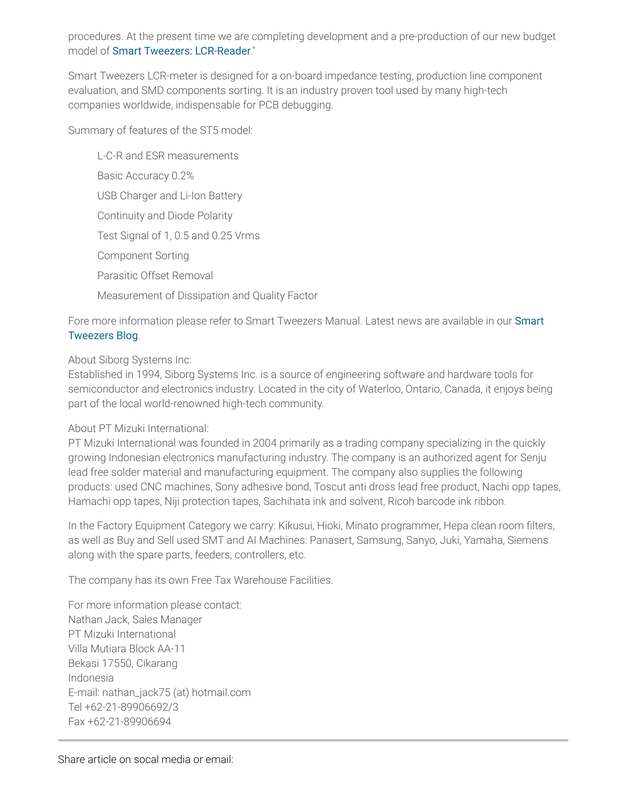procedures. At the present time we are completing development and a pre-production of our new budget model of Smart Tweezers: [LCR-Reader](http://www.prweb.net/Redirect.aspx?id=aHR0cDovL3d3dy5sY3ItcmVhZGVyLmNvbQ==)."

Smart Tweezers LCR-meter is designed for a on-board impedance testing, production line component evaluation, and SMD components sorting. It is an industry proven tool used by many high-tech companies worldwide, indispensable for PCB debugging.

Summary of features of the ST5 model:

L-C-R and ESR measurements Basic Accuracy 0.2% USB Charger and Li-Ion Battery Continuity and Diode Polarity Test Signal of 1, 0.5 and 0.25 Vrms Component Sorting Parasitic Offset Removal Measurement of Dissipation and Quality Factor

Fore more [information](http://www.prweb.net/Redirect.aspx?id=aHR0cDovL3d3dy5zbWFydHR3ZWV6ZXJzLnVzL2Jsb2c=) please refer to Smart Tweezers Manual. Latest news are available in our Smart Tweezers Blog.

About Siborg Systems Inc:

Established in 1994, Siborg Systems Inc. is a source of engineering software and hardware tools for semiconductor and electronics industry. Located in the city of Waterloo, Ontario, Canada, it enjoys being part of the local world-renowned high-tech community.

#### About PT Mizuki International:

PT Mizuki International was founded in 2004 primarily as a trading company specializing in the quickly growing Indonesian electronics manufacturing industry. The company is an authorized agent for Senju lead free solder material and manufacturing equipment. The company also supplies the following products: used CNC machines, Sony adhesive bond, Toscut anti dross lead free product, Nachi opp tapes, Hamachi opp tapes, Niji protection tapes, Sachihata ink and solvent, Ricoh barcode ink ribbon.

In the Factory Equipment Category we carry: Kikusui, Hioki, Minato programmer, Hepa clean room filters, as well as Buy and Sell used SMT and AI Machines: Panasert, Samsung, Sanyo, Juki, Yamaha, Siemens along with the spare parts, feeders, controllers, etc.

The company has its own Free Tax Warehouse Facilities.

For more information please contact: Nathan Jack, Sales Manager PT Mizuki International Villa Mutiara Block AA-11 Bekasi 17550, Cikarang Indonesia E-mail: nathan\_jack75 (at) hotmail.com Tel +62-21-89906692/3 Fax +62-21-89906694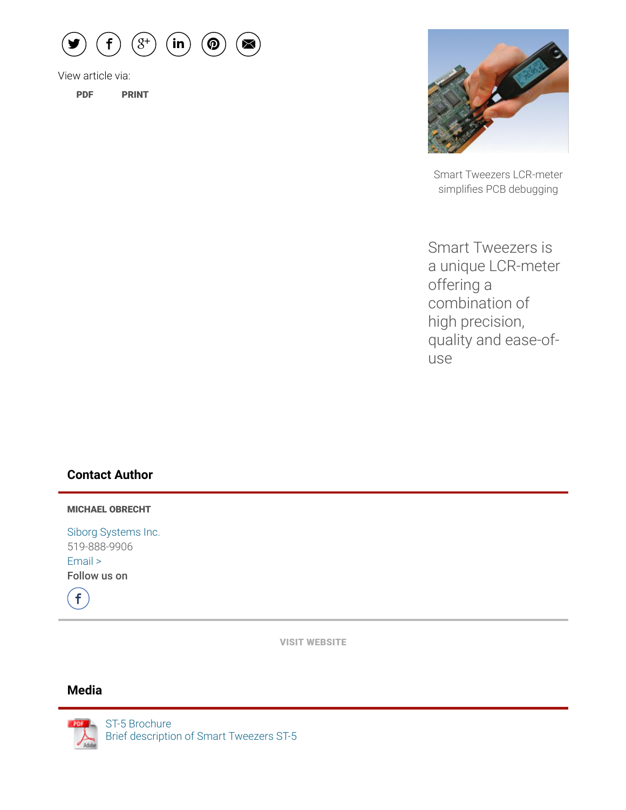

View article via:

[PDF](http://www.prweb.com/pdfdownload/10789699.pdf) [PRINT](http://www.prweb.com/printer/10789699.htm)



Smart Tweezers LCR-meter simplifies PCB debugging

Smart Tweezers is a unique LCR-meter offering a combination of high precision, quality and ease-ofuse

#### Contact Author

MICHAEL OBRECHT

Siborg [Systems](http://www.prweb.net/Redirect.aspx?id=aHR0cDovL3d3dy5zbWFydHR3ZWV6ZXJzLnVz) Inc. 519-888-9906 [Email](http://www.prweb.com/EmailContact.aspx?prid=10789699) > Follow us on



VISIT [WEBSITE](http://www.prweb.net/Redirect.aspx?id=aHR0cDovL3d3dy5zbWFydHR3ZWV6ZXJzLnVz)

#### Media